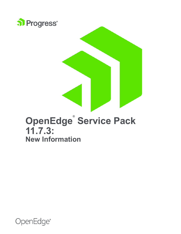

# **OpenEdge® Service Pack 11.7.3: New Information**

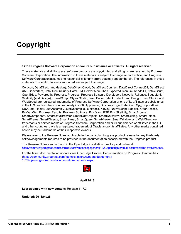# **Copyright**

#### **© 2018 Progress Software Corporation and/or its subsidiaries or affiliates. All rights reserved.**

These materials and all Progress Software products are copyrighted and all rights are reserved by Progress Software Corporation. The information in these materials is subject to change without notice, and Progress Software Corporation assumes no responsibility for any errors that may appear therein. The references in these materials to specific platforms supported are subject to change.

Corticon, DataDirect (and design), DataDirect Cloud, DataDirect Connect, DataDirect Connect64, DataDirect XML Converters, DataDirect XQuery, DataRPM, Deliver More Than Expected, Icenium, Kendo UI, NativeScript, OpenEdge, Powered by Progress, Progress, Progress Software Developers Network, Rollbase, SequeLink, Sitefinity (and Design), SpeedScript, Stylus Studio, TeamPulse, Telerik, Telerik (and Design), Test Studio, and WebSpeed are registered trademarks of Progress Software Corporation or one of its affiliates or subsidiaries in the U.S. and/or other countries. Analytics360, AppServer, BusinessEdge, DataDirect Spy, SupportLink, DevCraft, Fiddler, JustAssembly, JustDecompile, JustMock, Kinvey, NativeScript Sidekick, OpenAccess, ProDataSet, Progress Results, Progress Software, ProVision, PSE Pro, Sitefinity, SmartBrowser, SmartComponent, SmartDataBrowser, SmartDataObjects, SmartDataView, SmartDialog, SmartFolder, SmartFrame, SmartObjects, SmartPanel, SmartQuery, SmartViewer, SmartWindow, and WebClient are trademarks or service marks of Progress Software Corporation and/or its subsidiaries or affiliates in the U.S. and other countries. Java is a registered trademark of Oracle and/or its affiliates. Any other marks contained herein may be trademarks of their respective owners.

Please refer to the Release Notes applicable to the particular Progress product release for any third-party acknowledgements required to be provided in the documentation associated with the Progress product.

The Release Notes can be found in the OpenEdge installation directory and online at: [https://community.progress.com/technicalusers/w/openedgegeneral/1329.openedge-product-documentation-overview.aspx.](https://community.progress.com/technicalusers/w/openedgegeneral/1329.openedge-product-documentation-overview.aspx)

For the latest documentation updates see OpenEdge Product Documentation on Progress Communities: [\(https://community.progress.com/technicalusers/w/openedgegeneral/](https://community.progress.com/technicalusers/w/openedgegeneral/1329.openedge-product-documentation-overview.aspx) [1329.openedge-product-documentation-overview.aspx\)](https://community.progress.com/technicalusers/w/openedgegeneral/1329.openedge-product-documentation-overview.aspx).



**April 2018**

**Last updated with new content:** Release 11.7.3

**Updated: 2018/04/25**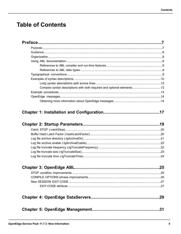# **Table of Contents**

| Complex syntax descriptions with both required and optional elements12 |  |
|------------------------------------------------------------------------|--|
|                                                                        |  |
|                                                                        |  |
|                                                                        |  |
|                                                                        |  |

## 

|--|--|--|

|--|--|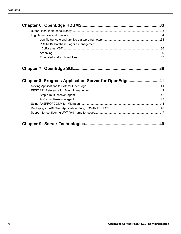|--|--|

| Chapter 8: Progress Application Server for OpenEdge41 |
|-------------------------------------------------------|
|                                                       |
|                                                       |
|                                                       |
|                                                       |
|                                                       |
|                                                       |
|                                                       |
|                                                       |

|--|--|--|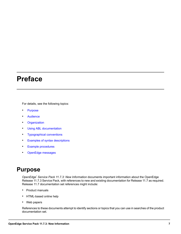# <span id="page-6-0"></span>**Preface**

For details, see the following topics:

- **[Purpose](#page-6-1)**
- **[Audience](#page-7-0)**
- **[Organization](#page-7-1)**
- Using ABL [documentation](#page-7-2)
- [Typographical](#page-8-2) conventions
- Examples of syntax [descriptions](#page-9-0)
- Example [procedures](#page-12-0)
- <span id="page-6-1"></span>• [OpenEdge](#page-13-0) messages

# **Purpose**

*OpenEdge® Service Pack 11.7.3: New Information* documents important information about the OpenEdge Release 11.7.3 Service Pack, with references to new and existing documentation for Release 11.7 as required. Release 11.7 documentation set references might include:

- Product manuals
- HTML-based online help
- Web papers

References to these documents attempt to identify sections or topics that you can use in searches of the product documentation set.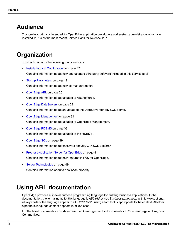# <span id="page-7-0"></span>**Audience**

This guide is primarily intended for OpenEdge application developers and system administrators who have installed 11.7.3 as the most recent Service Pack for Release 11.7.

# <span id="page-7-1"></span>**Organization**

This book contains the following major sections:

• Installation and [Configuration](#page-16-0) on page 17

Contains information about new and updated third party software included in this service pack.

- Startup [Parameters](#page-18-0) on page 19 Contains information about new startup parameters.
- [OpenEdge](#page-24-0) ABL on page 25 Contains information about updates to ABL features.
- OpenEdge [DataServers](#page-28-0) on page 29 Contains information about an update to the DataServer for MS SQL Server.
- OpenEdge [Management](#page-30-0) on page 31 Contains information about updates to OpenEdge Management.
- [OpenEdge](#page-32-0) RDBMS on page 33 Contains information about updates to the RDBMS.
- [OpenEdge](#page-38-0) SQL on page 39 Contains information about password security with SQL Explorer.
- Progress [Application](#page-40-0) Server for OpenEdge on page 41 Contains information about new features in PAS for OpenEdge.
- <span id="page-7-2"></span>• Server [Technologies](#page-48-0) on page 49 Contains information about a new bean property.

# **Using ABL documentation**

OpenEdge provides a special purpose programming language for building business applications. In the documentation, the formal name for this language is *ABL (Advanced Business Language)*. With few exceptions, all keywords of the language appear in all UPPERCASE, using a font that is appropriate to the context. All other alphabetic language content appears in mixed case.

For the latest documentation updates see the OpenEdge Product Documentation Overview page on Progress Communities: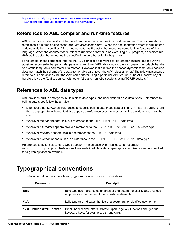[https://community.progress.com/technicalusers/w/openedgegeneral/](https://community.progress.com/technicalusers/w/openedgegeneral/1329.openedge-product-documentation-overview.aspx) [1329.openedge-product-documentation-overview.aspx](https://community.progress.com/technicalusers/w/openedgegeneral/1329.openedge-product-documentation-overview.aspx) .

## <span id="page-8-0"></span>**References to ABL compiler and run-time features**

ABL is both a compiled and an interpreted language that executes in a run-time engine. The documentation refers to this run-time engine as the *ABL Virtual Machine (AVM)*. When the documentation refers to ABL source code compilation, it specifies *ABL* or *the compiler* as the actor that manages compile-time features of the language. When the documentation refers to run-time behavior in an executing ABL program, it specifies *the AVM* as the actor that manages the specified run-time behavior in the program.

For example, these sentences refer to the ABL compiler's allowance for parameter passing and the AVM's possible response to that parameter passing at run time: "ABL allows you to pass a dynamic temp-table handle as a static temp-table parameter of a method. However, if at run time the passed dynamic temp-table schema does not match the schema of the static temp-table parameter, the AVM raises an error." The following sentence refers to run-time actions that the AVM can perform using a particular ABL feature: "The ABL socket object handle allows the AVM to connect with other ABL and non-ABL sessions using TCP/IP sockets."

## <span id="page-8-1"></span>**References to ABL data types**

ABL provides built-in data types, built-in class data types, and user-defined class data types. References to built-in data types follow these rules:

- Like most other keywords, references to specific built-in data types appear in all UPPERCASE, using a font that is appropriate to the context. No uppercase reference ever includes or implies any data type other than itself.
- Wherever *integer* appears, this is a reference to the INTEGER or INT64 data type.
- Wherever *character* appears, this is a reference to the CHARACTER, LONGCHAR, or CLOB data type.
- Wherever *decimal* appears, this is a reference to the DECIMAL data type.
- Wherever *numeric* appears, this is a reference to the INTEGER, INT64, or DECIMAL data type.

<span id="page-8-2"></span>References to built-in class data types appear in mixed case with initial caps, for example, Progress.Lang.Object. References to user-defined class data types appear in mixed case, as specified for a given application example.

# **Typographical conventions**

| <b>Convention</b>                  | <b>Description</b>                                                                                                            |
|------------------------------------|-------------------------------------------------------------------------------------------------------------------------------|
| <b>Bold</b>                        | Bold typeface indicates commands or characters the user types, provides<br>emphasis, or the names of user interface elements. |
| Italic                             | Italic typeface indicates the title of a document, or signifies new terms.                                                    |
| <b>SMALL, BOLD CAPITAL LETTERS</b> | Small, bold capital letters indicate OpenEdge key functions and generic<br>keyboard keys; for example, GET and CTRL.          |

This documentation uses the following typographical and syntax conventions: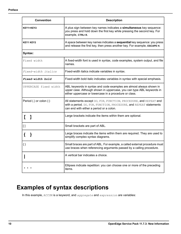| <b>Convention</b>                 | <b>Description</b>                                                                                                                                                                                     |
|-----------------------------------|--------------------------------------------------------------------------------------------------------------------------------------------------------------------------------------------------------|
| KEY1+KEY2                         | A plus sign between key names indicates a simultaneous key sequence:<br>you press and hold down the first key while pressing the second key. For<br>example, CTRL+X.                                   |
| <b>KEY1 KEY2</b>                  | A space between key names indicates a sequential key sequence: you press<br>and release the first key, then press another key. For example, ESCAPE H.                                                  |
| Syntax:                           |                                                                                                                                                                                                        |
| Fixed width                       | A fixed-width font is used in syntax, code examples, system output, and file<br>names.                                                                                                                 |
| Fixed-width italics               | Fixed-width italics indicate variables in syntax.                                                                                                                                                      |
| Fixed-width bold                  | Fixed-width bold italic indicates variables in syntax with special emphasis.                                                                                                                           |
| UPPERCASE fixed width             | ABL keywords in syntax and code examples are almost always shown in<br>upper case. Although shown in uppercase, you can type ABL keywords in<br>either uppercase or lowercase in a procedure or class. |
| Period (.) or colon (:)           | All statements except DO, FOR, FUNCTION, PROCEDURE, and REPEAT end<br>with a period. DO, FOR, FUNCTION, PROCEDURE, and REPEAT statements<br>can end with either a period or a colon.                   |
| $\begin{bmatrix} 1 \end{bmatrix}$ | Large brackets indicate the items within them are optional.                                                                                                                                            |
| $[ \ ]$                           | Small brackets are part of ABL.                                                                                                                                                                        |
| €                                 | Large braces indicate the items within them are required. They are used to<br>simplify complex syntax diagrams.                                                                                        |
| $\{\}$                            | Small braces are part of ABL. For example, a called external procedure must<br>use braces when referencing arguments passed by a calling procedure.                                                    |
|                                   | A vertical bar indicates a choice.                                                                                                                                                                     |
|                                   | Ellipses indicate repetition: you can choose one or more of the preceding<br>items.                                                                                                                    |

# <span id="page-9-0"></span>**Examples of syntax descriptions**

In this example, ACCUM is a keyword, and *aggregate* and *expression* are variables: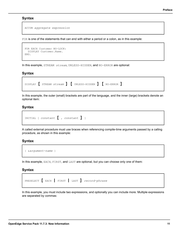ACCUM *aggregate expression*

FOR is one of the statements that can end with either a period or a colon, as in this example:

```
FOR EACH Customer NO-LOCK:
  DISPLAY Customer.Name.
END.
```
In this example, STREAM *stream*, UNLESS-HIDDEN, and NO-ERROR are optional:

## **Syntax**

|  |  | DISPLAY [ STREAM <i>stream</i> ] [ UNLESS-HIDDEN ] [ NO-ERROR ] |  |  |  |  |
|--|--|-----------------------------------------------------------------|--|--|--|--|
|--|--|-----------------------------------------------------------------|--|--|--|--|

In this example, the outer (small) brackets are part of the language, and the inner (large) brackets denote an optional item:

## **Syntax**

```
INITIAL [ constant [ , constant ] ]
```
A called external procedure must use braces when referencing compile-time arguments passed by a calling procedure, as shown in this example:

### **Syntax**

```
{ &argument-name }
```
In this example, EACH, FIRST, and LAST are optional, but you can choose only one of them:

### **Syntax**

|  | PRESELECT [EACH   FIRST   LAST ] record-phrase |
|--|------------------------------------------------|
|  |                                                |

In this example, you must include two expressions, and optionally you can include more. Multiple expressions are separated by commas: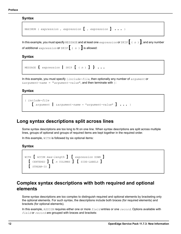```
MAXIMUM ( expression , expression [ , expression ] ... )
```
In this example, you must specify MESSAGE and at least one *expression* or SKIP **[** ( *<sup>n</sup>* ) **]**, and any number of additional *expression* or SKIP **[** ( *<sup>n</sup>* ) **]**is allowed:

**Syntax**

```
MESSAGE { expression | SKIP [ ( n ) ] } ...
```
In this example, you must specify {*include-file*, then optionally any number of *argument* or &*argument-name* = "*argument-value*", and then terminate with }:

**Syntax**

```
{ include-file
    [ argument | &argument-name = "argument-value" ] ... }
```
## **Long syntax descriptions split across lines**

Some syntax descriptions are too long to fit on one line. When syntax descriptions are split across multiple lines, groups of optional and groups of required items are kept together in the required order.

In this example, WITH is followed by six optional items:

## **Syntax**

<span id="page-11-1"></span>

## **Complex syntax descriptions with both required and optional elements**

Some syntax descriptions are too complex to distinguish required and optional elements by bracketing only the optional elements. For such syntax, the descriptions include both braces (for required elements) and brackets (for optional elements).

In this example, ASSIGN requires either one or more *field* entries or one *record*. Options available with *field* or *record* are grouped with braces and brackets: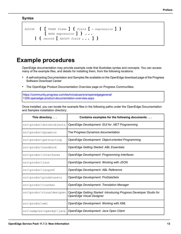|  | ASSIGN $\{$ $[$ FRAME frame $]$ $\{$ field $[$ = expression $]$ $\}$ |
|--|----------------------------------------------------------------------|
|  | $[$ WHEN expression $]$ }                                            |
|  | $\vert$ { record [ EXCEPT field  ] }                                 |

## <span id="page-12-0"></span>**Example procedures**

OpenEdge documentation may provide example code that illustrates syntax and concepts. You can access many of the example files, and details for installing them, from the following locations:

- A self-extracting Documentation and Samples file available on the OpenEdge download page of the Progress Software Download Center
- The OpenEdge Product Documentation Overview page on Progress Communities:

[https://community.progress.com/technicalusers/w/openedgegeneral/](https://community.progress.com/technicalusers/w/openedgegeneral/1329.openedge-product-documentation-overview.aspx) [1329.openedge-product-documentation-overview.aspx](https://community.progress.com/technicalusers/w/openedgegeneral/1329.openedge-product-documentation-overview.aspx)

Once installed, you can locate the example files in the following paths under the OpenEdge Documentation and Samples installation directory:

| This directory            | Contains examples for the following documents                                                   |  |  |
|---------------------------|-------------------------------------------------------------------------------------------------|--|--|
| src\prodoc\dotnetobjects  | OpenEdge Development: GUI for .NET Programming                                                  |  |  |
| src\prodoc\dynamics       | The Progress Dynamics documentation                                                             |  |  |
| src\prodoc\getstartoop    | OpenEdge Development: Object-oriented Programming                                               |  |  |
| src\prodoc\handbook       | <b>OpenEdge Getting Started: ABL Essentials</b>                                                 |  |  |
| src\prodoc\interfaces     | OpenEdge Development: Programming Interfaces                                                    |  |  |
| $src\prodoc\sigma$        | OpenEdge Development: Working with JSON                                                         |  |  |
| src\prodoc\langref        | OpenEdge Development: ABL Reference                                                             |  |  |
| src\prodoc\prodatasets    | OpenEdge Development: ProDataSets                                                               |  |  |
| src\prodoc\tranman        | <b>OpenEdge Development: Translation Manager</b>                                                |  |  |
| src\prodoc\visualdesigner | OpenEdge Getting Started: Introducing Progress Developer Studio for<br>OpenEdge Visual Designer |  |  |
| src\prodoc\xml            | OpenEdge Development: Working with XML                                                          |  |  |
| src\samples\open4gl\java  | OpenEdge Development: Java Open Client                                                          |  |  |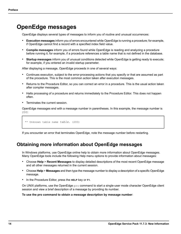# <span id="page-13-0"></span>**OpenEdge messages**

OpenEdge displays several types of messages to inform you of routine and unusual occurrences:

- **Execution messages** inform you of errors encountered while OpenEdge is running a procedure; for example, if OpenEdge cannot find a record with a specified index field value.
- **Compile messages** inform you of errors found while OpenEdge is reading and analyzing a procedure before running it; for example, if a procedure references a table name that is not defined in the database.
- **Startup messages** inform you of unusual conditions detected while OpenEdge is getting ready to execute; for example, if you entered an invalid startup parameter.

After displaying a message, OpenEdge proceeds in one of several ways:

- Continues execution, subject to the error-processing actions that you specify or that are assumed as part of the procedure. This is the most common action taken after execution messages.
- Returns to the Procedure Editor, so you can correct an error in a procedure. This is the usual action taken after compiler messages.
- Halts processing of a procedure and returns immediately to the Procedure Editor. This does not happen often.
- Terminates the current session.

OpenEdge messages end with a message number in parentheses. In this example, the message number is 200:

```
** Unknown table name table. (200)
```
<span id="page-13-1"></span>If you encounter an error that terminates OpenEdge, note the message number before restarting.

## **Obtaining more information about OpenEdge messages**

In Windows platforms, use OpenEdge online help to obtain more information about OpenEdge messages. Many OpenEdge tools include the following Help menu options to provide information about messages:

- Choose **Help** > **Recent Messages** to display detailed descriptions of the most recent OpenEdge message and all other messages returned in the current session.
- Choose **Help** > **Messages** and then type the message number to display a description of a specific OpenEdge message.
- In the Procedure Editor, press the **HELP** key or **F1**.

On UNIX platforms, use the OpenEdge  $p_{\text{TO}}$  command to start a single-user mode character OpenEdge client session and view a brief description of a message by providing its number.

**To use the pro command to obtain a message description by message number**: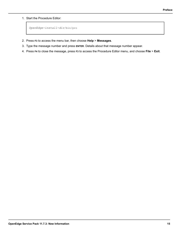1. Start the Procedure Editor:

```
OpenEdge-install-dir/bin/pro
```
- 2. Press **F3** to access the menu bar, then choose **Help** > **Messages**.
- 3. Type the message number and press **ENTER**. Details about that message number appear.
- 4. Press **F4** to close the message, press **F3** to access the Procedure Editor menu, and choose **File** > **Exit**.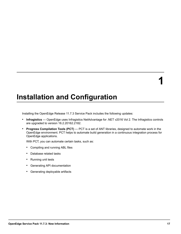# <span id="page-16-0"></span>**Installation and Configuration**

Installing the OpenEdge Release 11.7.3 Service Pack includes the following updates:

- **Infragistics** OpenEdge uses Infragistics NetAdvantage for .NET v2016 Vol 2. The Infragistics controls are upgraded to version 16.2.20162.2182.
- **Progress Compilation Tools (PCT)** PCT is a set of ANT libraries, designed to automate work in the OpenEdge environment. PCT helps to automate build generation in a continuous integration process for OpenEdge applications.

With PCT, you can automate certain tasks, such as:

- Compiling and running ABL files
- Database related tasks
- Running unit tests
- Generating API documentation
- Generating deployable artifacts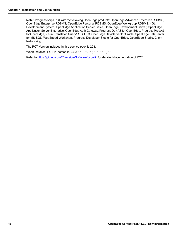**Note:** Progress ships PCT with the following OpenEdge products: OpenEdge Advanced Enterprise RDBMS, OpenEdge Enterprise RDBMS, OpenEdge Personal RDBMS, OpenEdge Workgroup RDBMS, 4GL Development System, OpenEdge Application Server Basic, OpenEdge Development Server, OpenEdge Application Server Enterprise, OpenEdge Auth Gateway, Progress Dev AS for OpenEdge, Progress ProdAS for OpenEdge, Visual Translator, Query/RESULTS, OpenEdge DataServer for Oracle, OpenEdge DataServer for MS SQL, WebSpeed Workshop, Progress Developer Studio for OpenEdge, OpenEdge Studio, Client Networking.

The PCT Version included in this service pack is 208.

When installed, PCT is located in *install-dir*\pct\PCT.jar

Refer to <https://github.com/Riverside-Software/pct/wiki> for detailed documentation of PCT.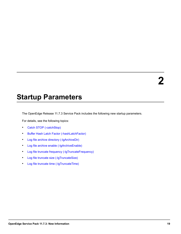# <span id="page-18-0"></span>**Startup Parameters**

The OpenEdge Release 11.7.3 Service Pack includes the following new startup parameters.

For details, see the following topics:

- Catch STOP [\(-catchStop\)](#page-19-0)
- Buffer Hash Latch Factor [\(-hashLatchFactor\)](#page-19-1)
- Log file archive directory [\(-lgArchiveDir\)](#page-20-0)
- Log file archive enable [\(-lgArchiveEnable\)](#page-21-0)
- Log file truncate frequency [\(-lgTruncateFrequency\)](#page-21-1)
- Log file truncate size [\(-lgTruncateSize\)](#page-22-0)
- Log file truncate time [\(-lgTruncateTime\)](#page-23-0)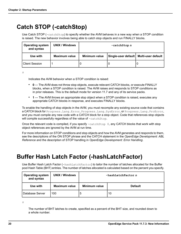# <span id="page-19-0"></span>**Catch STOP (-catchStop)**

Use Catch STOP (-catchStop) to specify whether the AVM behaves in a new way when a STOP condition is raised. The new behavior involves being able to catch stop objects and run FINALLY blocks.

| <b>Operating system</b><br>and syntax | <b>UNIX / Windows</b> | -catchStop n         |                                          |  |
|---------------------------------------|-----------------------|----------------------|------------------------------------------|--|
| Use with                              | <b>Maximum value</b>  | <b>Minimum value</b> | Single-user default   Multi-user default |  |
| <b>Client Session</b>                 |                       |                      |                                          |  |

*n*

Indicates the AVM behavior when a STOP condition is raised:

- **0** The AVM does not throw stop objects, execute relevant CATCH blocks, or execute FINALLY blocks, when a STOP condition is raised. The AVM raises and responds to STOP conditions as in prior releases. This is the default mode for version 11.7 and any of its service packs.
- **1** The AVM throws an appropriate stop object when a STOP condition is raised, executes any appropriate CATCH blocks in response, and executes FINALLY blocks.

To enable the handling of stop objects in the AVM, you must recompile any existing source code that contains a CATCH block for Progress. Lang. Error, Progress. Lang. SysError, or Progress. Lang. ProError, and you must compile any new code with a CATCH block for a stop object. Code that references stop objects will compile successfully regardless of the value of -catchStop.

Once the relevant code is compiled, if you specify  $-catchStop$  0, any CATCH blocks that work with stop object references are ignored by the AVM at run time.

<span id="page-19-1"></span>For more information on STOP conditions and stop objects and how the AVM generates and responds to them, see the descriptions of the ON STOP phrase and the CATCH statement in the *OpenEdge Development: ABL Reference* and the description of STOP handling in *OpenEdge Development: Error Handling*.

# **Buffer Hash Latch Factor (-hashLatchFactor)**

Use Buffer Hash Latch Factor (-hashLatchFactor) to tailor the number of latches allocated for the Buffer pool Hash Table (BHT) entries. The number of latches allocated is calculated based on the percent you specify.

| <b>Operating system</b><br>and syntax | <b>UNIX / Windows</b> | $-hash$ LatchFactor n |                |  |
|---------------------------------------|-----------------------|-----------------------|----------------|--|
| Use with                              | <b>Maximum value</b>  | Minimum value         | <b>Default</b> |  |
| <b>I</b> Database Server              | 100                   | э                     | 10             |  |

*n*

The number of BHT latches to create, specified as a percent of the BHT size, and rounded down to a whole number.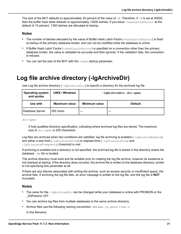The size of the BHT defaults to approximately 25 percent of the value of  $-B$ . Therefore, if  $-B$  is set at 50000, then the buffer hash table defaults to approximately 13000 entries. If you leave -hashLatchFactor at the default of 10 percent, 1300 latches are allocated at startup.

#### **Notes**

- The number of latches allocated by the value of Buffer Hash Latch Factor (-hashLatchFactor) is fixed at startup of the primary database broker, and can not be modified while the database is online.
- If Buffer Hash Latch Factor (-hashLatchFactor) is specified on a connection other than the primary database broker, the value is validated as accurate and then ignored. If the validation fails, the connection is refused.
- You can set the size of the BHT with the -hash startup parameter.

## <span id="page-20-0"></span>**Log file archive directory (-lgArchiveDir)**

Use Log file archive directory  $(-lgArchiveDir)$  to specify a directory for the archived log file.

| <b>Operating system</b><br>and syntax | <b>UNIX / Windows</b> | -lgArchiveDir dir-spec |                |
|---------------------------------------|-----------------------|------------------------|----------------|
| Use with                              | Maximum value         | Minimum value          | <b>Default</b> |
| l Database Server<br>255 chars        |                       |                        |                |

*dir-spec*

A fully-qualified directory specification, indicating where archived log files are stored. The maximum size of *dir-spec* is 255 characters.

Log files are archived when two conditions are satisfied: log file archiving is enabled  $(-\text{l}qArchiv\epsilon Enable)$ and either a size limit (-lgTruncateSize) or elapsed time (-lgTruncateTime and -lgTruncateFrequency) threshold is met.

If archiving is enabled and a directory is not specified, the archived log file is stored in the directory where the database .db file is located.

The archive directory must exist and be writable prior to creating the log file archive, however its existence is not checked at startup. If the directory does not exist, the archive file is written to the database directory, similar to not specifying this parameter at all.

If there are any failures associated with writing the archive, such as access security or insufficient space, the archive fails. If archiving the log file fails, an error message is written to the log file, and the log file is **NOT** truncated.

#### **Notes**

- The value for the  $-lqArchiveDir can$  be changed while your database is online with PROMON or the \_DbParams VST.
- You can archive log files from multiple databases to the same archive directory.
- Archive files use the following naming convention: *dbname*.lg.*date-time*.*n*

In this filename: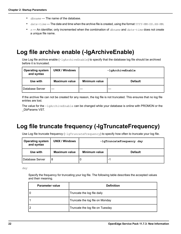- *dbname* The name of the database.
- date-time The date and time when the archive file is created, using the format YYYY-MM-DD. HH-MM.
- *n* An identifier, only incremented when the combination of *dbname* and *date-time* does not create a unique file name.

# <span id="page-21-0"></span>**Log file archive enable (-lgArchiveEnable)**

Use Log file archive enable (-lgArchiveEnable) to specify that the database log file should be archived before it is truncated.

| <b>Operating system</b><br>and syntax | <b>UNIX / Windows</b> | -lgArchiveEnable |                |  |
|---------------------------------------|-----------------------|------------------|----------------|--|
| Use with                              | <b>Maximum value</b>  | Minimum value    | <b>Default</b> |  |
| Database Server                       |                       |                  |                |  |

If the archive file can not be created for any reason, the log file is not truncated. This ensures that no log file entries are lost.

<span id="page-21-1"></span>The value for the -lgArchiveEnable can be changed while your database is online with PROMON or the \_DbParams VST.

# **Log file truncate frequency (-lgTruncateFrequency)**

Use Log file truncate frequency  $(-\log \text{TruncateFrequency})$  to specify how often to truncate your log file.

| <b>Operating system</b><br>and syntax | <b>UNIX / Windows</b> | -lgTruncateFrequency day |                          |  |
|---------------------------------------|-----------------------|--------------------------|--------------------------|--|
| Use with                              | Maximum value         | Minimum value            | <b>Default</b>           |  |
| Database Server                       | 8                     |                          | $\overline{\phantom{0}}$ |  |

*day*

Specify the frequency for truncating your log file. The following table describes the accepted values and their meaning.

| Parameter value | <b>Definition</b>                |
|-----------------|----------------------------------|
| ۱٥              | Truncate the log file daily      |
| 1               | Truncate the log file on Monday  |
| 12              | Truncate the log file on Tuesday |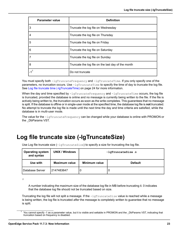| <b>Parameter value</b> | <b>Definition</b>                                  |  |
|------------------------|----------------------------------------------------|--|
| 3                      | Truncate the log file on Wednesday                 |  |
| $\overline{4}$         | Truncate the log file on Thursday                  |  |
| 5                      | Truncate the log file on Friday                    |  |
| 6                      | Truncate the log file on Saturday                  |  |
| 7                      | Truncate the log file on Sunday                    |  |
| 8                      | Truncate the log file on the last day of the month |  |
| $-1$ <sup>1</sup>      | Do not truncate                                    |  |

You must specify both -lgTruncateFrequency and -lgTruncateTime. If you only specify one of the parameters, no truncation occurs. Use  $-\text{lgTruncaterime}$  to specify the time of day to truncate the log file. See Log file truncate time [\(-lgTruncateTime\)](#page-23-0) on page 24 for more information.

When the day and time specified by  $-lgTruncateFrequency$  and  $-lgTruncateTime$  occurs, the log file is truncated, provided the database is online and no message is currently being written to the file. If the file is actively being written to, the truncation occurs as soon as the write completes. This guarantees that no message is split. If the database is offline or in single-user mode at the specified time, the database log file is **not** truncated. No attempt to truncate the log file is made until the next time the day and time criteria are satisfied, while the database is in multi-user mode.

<span id="page-22-0"></span>The value for the -lgTruncateFrequency can be changed while your database is online with PROMON or the DbParams VST.

# **Log file truncate size (-lgTruncateSize)**

Use Log file truncate size  $(-1)$ gTruncateSize) to specify a size for truncating the log file.

| <b>Operating system</b><br>and syntax | <b>UNIX / Windows</b> | $-IqTruncatesize n$ |                |  |
|---------------------------------------|-----------------------|---------------------|----------------|--|
| Use with                              | <b>Maximum value</b>  | Minimum value       | <b>Default</b> |  |
| l Database Server                     | 2147483647            | U                   |                |  |

*n*

A number indicating the maximum size of the database log file in MB before truncating it. 0 indicates that the database log file should not be truncated based on size.

Truncating the log file will not split a message. If the  $-1$ gTruncateSize value is reached while a message is being written, the log file is truncated *after* the message is completely written to guarantee that no message is split.

You cannot specify -1 as a parameter value, but it is visible and settable in PROMON and the \_DbParams VST, indicating that truncation based on frequency is disabled.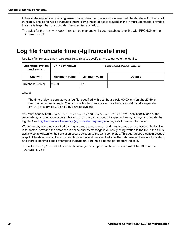If the database is offline or in single-user mode when the truncate size is reached, the database log file is **not** truncated. The log file will be truncated the next time the database is brought online in multi-user mode, provided the size is larger than the truncate size specified at startup.

The value for the -lgTruncateSize can be changed while your database is online with PROMON or the \_DbParams VST.

# <span id="page-23-0"></span>**Log file truncate time (-lgTruncateTime)**

Use Log file truncate time  $(-1)$ gTruncateTime) to specify a time to truncate the log file.

| <b>Operating system</b><br>and syntax | <b>UNIX / Windows</b> | $-IqTruncaterime$ $HH:MM$ |                |  |
|---------------------------------------|-----------------------|---------------------------|----------------|--|
| Use with                              | <b>Maximum value</b>  | Minimum value             | <b>Default</b> |  |
| l Database Server                     | 23:59                 | 00:00                     |                |  |

*HH:MM*

The time of day to truncate your log file, specified with a 24 hour clock. 00:00 is midnight, 23:59 is one minute before midnight. You can omit leading zeros, as long as there is a valid  $H$  and M separated by ":". For example 3:3 and 03:03 are equivalent.

You must specify both -lgTruncateFrequency and -lgTruncateTime. If you only specify one of the parameters, no truncation occurs. Use  $-\frac{1}{T}\pi r$ uncateFrequency to specify the day or days to truncate the log file. See Log file truncate frequency [\(-lgTruncateFrequency\)](#page-21-1) on page 22 for more information.

When the day and time specified by  $-\text{logTruncaterfrequency}$  and  $-\text{logTruncaterime}$  occurs, the log file is truncated, provided the database is online and no message is currently being written to the file. If the file is actively being written to, the truncation occurs as soon as the write completes. This guarantees that no message is split. If the database is offline or in single-user mode at the specified time, the database log file is **not** truncated, and there is no time-based attempt to truncate until the next time the parameters indicate.

The value for  $-1$ gTruncateTime can be changed while your database is online with PROMON or the \_DbParams VST.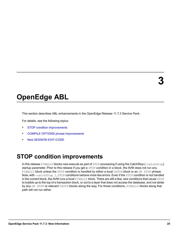# <span id="page-24-0"></span>**OpenEdge ABL**

This section describes ABL enhancements in the OpenEdge Release 11.7.3 Service Pack.

For details, see the following topics:

- **STOP condition [improvements](#page-24-1)**
- COMPILE OPTIONS phrase [improvements](#page-25-0)
- <span id="page-24-1"></span>• New SESSION [EXIT-CODE](#page-26-0)

# **STOP condition improvements**

In this release FINALLY blocks now execute as part of STOP processing if using the CatchStop (-catchStop) startup parameter. Prior to this release if you get a STOP condition in a block, the AVM does not run any FINALLY block unless the STOP condition is handled by either a local CATCH block or an ON STOP phrase. Now, with -catchStop 1, STOP conditions behave more like errors. Even if the STOP condition is not handled in the current block, the AVM runs a local FINALLY block. There are still a few, rare conditions that cause STOP to bubble up to the top of a transaction block, or out to a layer that does not access the database, and not abide by any ON STOP or relevant CATCH blocks along the way. For those conditions, FINALLY blocks along that path will not run either.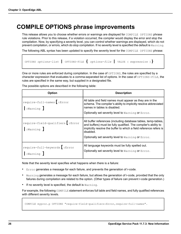# <span id="page-25-0"></span>**COMPILE OPTIONS phrase improvements**

This release allows you to choose whether errors or warnings are displayed for COMPILE OPTIONS phrase rule violations. Prior to this release, if a violation occurred, the compiler would display the error and stop the compilation. Now, by specifying a severity level, you can control whether warnings are displayed, which do not prevent compilation, or errors, which do stop compilation. If no severity level is specified the default is  $Warning$ .

The following ABL syntax has been updated to specify the severity level for the COMPILE OPTIONS phrase:

OPTIONS *options-list* **|** OPTIONS-FILE **{** *options-file* **|** VALUE ( *expression* )**}**

One or more rules are enforced during compilation. In the case of OPTIONS, the rules are specified by a character expression that evaluates to a comma-separated list of options. In the case of OPTIONS-FILE, the rules are specified in the same way, but supplied in a designated file.

**Option Description** All table and field names must appear as they are in the schema. The compiler's ability to implicitly resolve abbreviated names in tables is disabled. Optionally set severity level to Warning or Error. require-full-names**[**:Error **|**:Warning **]** All buffer references (including database tables, temp-tables, and buffers) must be fully qualified. The compiler's ability to implicitly resolve the buffer to which a field reference refers is disabled. Optionally set severity level to Warning or Error. require-field-qualifiers**[**:Error **|**:Warning **]** All language keywords must be fully spelled out. Optionally set severity level to Warning or Error. require-full-keywords**[**:Error **|**:Warning **]**

The possible options are described in the following table:

Note that the severity level specifies what happens when there is a failure:

- Error generates a message for each failure, and prevents the generation of r-code.
- Warning generates a message for each failure, but allows the generation of r-code, provided that the only failures during compilation are related to the option. (Other types of failure can prevent r-code generation.)
- If no severity level is specified, the default is Warning.

For example, the following COMPILE statement enforces full table and field names, and fully qualified references with different severity levels.

COMPILE myproc.p OPTIONS "require-field-qualifiers:Error,require-full-names".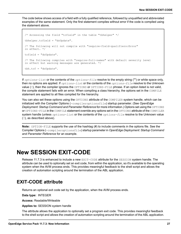The code below shows access of a field with a fully qualified reference, followed by unqualified and abbreviated examples of the same statement. Only the first statement compiles without error if the code is compiled using the statement above.

```
/* Accessing the field "tcfield" in the table "tbhelper" */
tbhelper.tcfield = "doUpdate".
/* The following will not compile with "require-field-qualifiers:Error"
in effect. */
tcfield = "doUpdate".
/* The following compiles with "require-full-names" with default severity level
in effect but warning messages are generated. */
tbh.tcf = "doUpdate".
```
If *options-list* or the contents of the *options-file* resolve to the empty string ("") or white space only, then no options are applied. If *options-list* or the contents of the *options-file* resolve to the Unknown value (?), then the compiler ignores the OPTIONS or OPTIONS-FILE phrase. If an option listed is not valid, the compile statement fails with an error. When compiling a class hierarchy, the options set in the COMPILE statement are applied to all files compiled for the hierarchy.

You can also set these options using the OPTIONS attribute of the COMPILER system handle, which can be initialized with the Compiler Options (-compileroptionsfile) startup parameter. (See *OpenEdge Deployment: Startup Command and Parameter Reference* for more information.) Options set using the OPTIONS or OPTIONS-FILE in the COMPILE statement override any options set in the OPTIONS attribute of the COMPILER system handle (unless *options-list* or the contents of the *options-file* resolve to the Unknown value (?), as described above).

<span id="page-26-0"></span>**Note:** OPTION-FILE supports the use of the hashtag (#) to include comments in the options file. See the Compiler Options (-compileroptionsfile) startup parameter in *OpenEdge Deployment: Startup Command and Parameter Reference* for an example.

## **New SESSION EXIT-CODE**

<span id="page-26-1"></span>Release 11.7.3 is enhanced to include a new EXIT-CODE attribute for the SESSION system handle. The attribute can be used to optionally set an exit code, from within the application, so it's available to the operating system when the AVM process ends. This provides meaningful feedback to the shell script and allows the creation of automation scripting around the termination of the ABL application.

## **EXIT-CODE attribute**

Returns an optional exit code set by the application, when the AVM process ends.

**Data type:** INTEGER

**Access:** Readable/Writeable

**Applies to:** SESSION system handle

The attribute allows the application to optionally set a program exit code. This provides meaningful feedback to the shell script and allows the creation of automation scripting around the termination of the ABL application.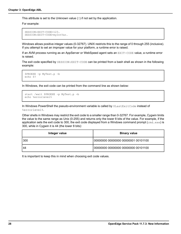This attribute is set to the Unknown value (?) if not set by the application.

For example:

```
SESSION:EXIT-CODE=123.
SESSION:EXIT-CODE=myIntVar.
```
Windows allows positive integer values (0-32767). UNIX restricts this to the range of 0 through 255 (inclusive). If you attempt to set an improper value for your platform, a runtime error is raised.

If an AVM process running as an AppServer or WebSpeed agent sets an EXIT-CODE value, a runtime error is raised.

The exit code specified by SESSION:EXIT-CODE can be printed from a bash shell as shown in the following example:

```
$PROEXE -p MyTest.p -b
echo $?
```
In Windows, the exit code can be printed from the command line as shown below:

```
start /wait $PROEXE -p MyTest.p -b
echo %errorlevel%
```
In Windows PowerShell the pseudo-environment variable is called by  $$LastExitCode$  instead of %errorlevel%.

Other shells in Windows may restrict the exit code to a smaller range than 0-32767. For example, Cygwin limits the value to the same range as Unix (0-255) and returns only the lower 8 bits of the value. For example, if the application sets the exit code to 300, the exit code displayed from a Windows command prompt ( $cmd.exe$ ) is 300, while in Cygwin it is 44 (the lower 8 bits):

| Integer value | <b>Binary value</b>                 |
|---------------|-------------------------------------|
| l 300         | 00000000 00000000 00000001 00101100 |
| 44            | 00000000 00000000 00000000 00101100 |

It is important to keep this in mind when choosing exit code values.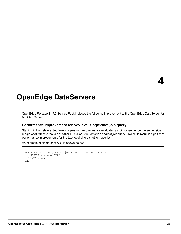# <span id="page-28-0"></span>**OpenEdge DataServers**

OpenEdge Release 11.7.3 Service Pack includes the following improvement to the OpenEdge DataServer for MS SQL Server:

## **Performance Improvement for two level single-shot join query**

Starting in this release, two level single-shot join queries are evaluated as join-by-server on the server side. Single-shot refers to the use of either FIRST or LAST criteria as part of join query. This could result in significant performance improvements for the two-level single-shot join queries.

An example of single-shot ABL is shown below:

```
FOR EACH customer, FIRST [or LAST] order OF customer
   WHERE state = "MA":
DISPLAY Name.
END
```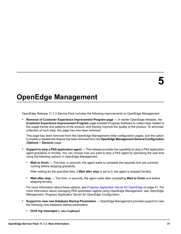# <span id="page-30-0"></span>**OpenEdge Management**

OpenEdge Release 11.7.3 Service Pack includes the following improvements to OpenEdge Management:

• **Removal of Customer Experience Improvement Program page** — In earlier OpenEdge releases, the **Customer Experience Improvement Program** page enabled Progress Software to collect data related to the usage trends and patterns of the product, and thereby improve the quality of the product. To eliminate collection of such data, this page has now been removed.

This page has been removed from the OpenEdge Management initial configuration pages, and the option to enable or disable this feature has been removed from the **OpenEdge Management General Configuration** (**Options** > **General**) page.

- **Support to stop a PAS application agent** This release provides the capability to stop a PAS application agent gracefully or forcibly. You can choose how you want to stop a PAS agent by specifying the wait time using the following options in OpenEdge Management:
	- **Wait to finish** The time, in seconds, the agent waits to complete the requests that are currently running before stopping gracefully.

After waiting for the specified time, if **Wait after stop** is set to 0, the agent is stopped forcibly.

• **Wait after stop** — The time, in seconds, the agent waits after completing **Wait to finish** and before stopping forcibly.

For more information about these options, see Progress [Application](#page-40-0) Server for OpenEdge on page 41. For more information about managing PAS application agents using OpenEdge Management, see *OpenEdge Management: Progress Application Server for OpenEdge Configuration*.

- **Support to view new Database Startup Parameters** OpenEdge Management provides support to view the following new database startup parameters:
	- **Omit log messages (-omitLgMsgs)**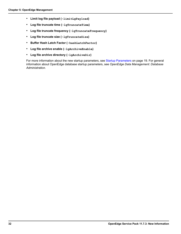- **Limit log file payload (-limitLgPayload)**
- **Log file truncate time (-lgTruncateTime)**
- **Log file truncate frequency (-lgTruncateFrequency)**
- **Log file truncate size (-lgTruncateSize)**
- **Buffer Hash Latch Factor (-hashLatchFactor)**
- **Log file archive enable (-lgArchiveEnable)**
- **Log file archive directory (-lgArchiveDir)**

For more information about the new startup parameters, see Startup [Parameters](#page-18-0) on page 19. For general information about OpenEdge database startup parameters, see *OpenEdge Data Management: Database Administration*.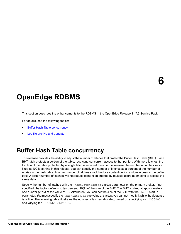# <span id="page-32-0"></span>**OpenEdge RDBMS**

This section describes the enhancements to the RDBMS in the OpenEdge Release 11.7.3 Service Pack.

For details, see the following topics:

- **Buffer Hash Table [concurrency](#page-32-1)**
- <span id="page-32-1"></span>Log file archive and [truncate](#page-33-0)

# **Buffer Hash Table concurrency**

This release provides the ability to adjust the number of latches that protect the Buffer Hash Table (BHT). Each BHT latch protects a portion of the table, restricting concurrent access to that portion. With more latches, the fraction of the table protected by a single latch is reduced. Prior to this release, the number of latches was a fixed at 1024; starting in this release, you can specify the number of latches as a percent of the number of entries in the hash table. A larger number of latches should reduce contention for random access to the buffer pool. A larger number of latches will not reduce contention created by multiple users attempting to access the same data.

Specify the number of latches with the -hashLatchFactor startup parameter on the primary broker. If not specified, the factor defaults to ten percent (10%) of the size of the BHT. The BHT is sized at approximately one quarter (25%) of the value of -B. Alternately, you can set the size of the BHT with the -hash startup parameter. You must specify the -hashLatchFactor value at startup; you can not modify it while the database is online. The following table illustrates the number of latches allocated, based on specifying -B 2000000, and varying the -hashLatchFactor.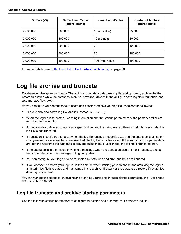| Buffers (-B) | <b>Buffer Hash Table</b><br>(approximate) | -hashLatchFactor | <b>Number of latches</b><br>(approximate) |
|--------------|-------------------------------------------|------------------|-------------------------------------------|
| 2,000,000    | 500,000                                   | 5 (min value)    | 25,000                                    |
| 2,000,000    | 500,000                                   | 10 (default)     | 50,000                                    |
| 2,000,000    | 500,000                                   | 25               | 125,000                                   |
| 2,000,000    | 500,000                                   | 50               | 250,000                                   |
| 2,000,000    | 500,000                                   | 100 (max value)  | 500,000                                   |

For more details, see Buffer Hash Latch Factor [\(-hashLatchFactor\)](#page-19-1) on page 20.

# <span id="page-33-0"></span>**Log file archive and truncate**

Database log files grow constantly. The ability to truncate a database log file, and optionally archive the file before truncation while the database is online, provides DBAs with the ability to save log file information, and also manage file growth.

As you configure your database to truncate and possibly archive your log file, consider the following:

- There is only one active log file, and it is named *dbname*.lg.
- When the log file is truncated, licensing information and the startup parameters of the primary broker are re-written to the log file.
- If truncation is configured to occur at a specific time, and the database is offline or in single-user mode, the log file is not truncated.
- If truncation is configured to occur when the log file reaches a specific size, and the database is offline or in single-user mode when the size is reached, the log file is not truncated. If the truncation size parameters are met the next time the database is brought online in multi-user mode, the log file is truncated then.
- If the database is in the middle of writing a message when the truncation size or time is reached, the log file is truncated after the message writing completes.
- You can configure your log file to be truncated by both time and size, and both are honored.
- If you choose to archive your log file, in the time between starting your database and archiving the log file, an interim log file is created and maintained in the archive directory or the database directory if no archive directory is specified.

<span id="page-33-1"></span>You can manage the criteria for truncating and archiving your log file through startup parameters, the \_DbParams VST, or with PROMON.

## **Log file truncate and archive startup parameters**

Use the following startup parameters to configure truncating and archiving your database log file.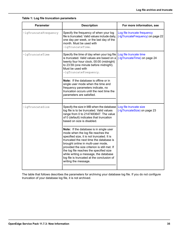|  |  |  | Table 1: Log file truncation parameters |
|--|--|--|-----------------------------------------|
|--|--|--|-----------------------------------------|

| <b>Parameter</b>     | <b>Description</b>                                                                                                                                                                                                                                                                                                                                                                                                     | For more information, see                                        |
|----------------------|------------------------------------------------------------------------------------------------------------------------------------------------------------------------------------------------------------------------------------------------------------------------------------------------------------------------------------------------------------------------------------------------------------------------|------------------------------------------------------------------|
| -lgTruncateFrequency | Specify the frequency of when your log<br>file is truncated. Valid values include daily,<br>one day per week, or the last day of the<br>month. Must be used with<br>-lqTruncateTime.                                                                                                                                                                                                                                   | Log file truncate frequency<br>(-IgTruncateFrequency) on page 22 |
| -lgTruncateTime      | Specify the time of day when your log file<br>is truncated. Valid values are based on a<br>twenty four hour clock, 00:00 (midnight)<br>to 23:59 (one minute before midnight).<br>Must be used with<br>-lgTruncateFrequency.                                                                                                                                                                                            | Log file truncate time<br>(-IgTruncateTime) on page 24           |
|                      | Note: If the database is offline or in<br>single user mode when the time and<br>frequency parameters indicate, no<br>truncation occurs until the next time the<br>parameters are satisfied.                                                                                                                                                                                                                            |                                                                  |
| -lgTruncateSize      | Specify the size in MB when the database<br>log file is to be truncated. Valid values<br>range from 0 to 2147483647. The value<br>of 0 (default) indicates that truncation<br>based on size is disabled.                                                                                                                                                                                                               | Log file truncate size<br>(-IgTruncateSize) on page 23           |
|                      | Note: If the database is in single user<br>mode when the log file reaches the<br>specified size, it is not truncated. It is<br>truncated the next time the database is<br>brought online in multi-user mode,<br>provided the size criterion is still met. If<br>the log file reaches the specified size<br>while writing a message, the database<br>log file is truncated at the conclusion of<br>writing the message. |                                                                  |

The table that follows describes the parameters for archiving your database log file. If you do not configure truncation of your database log file, it is not archived.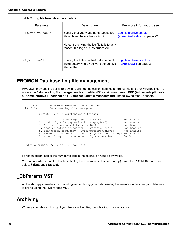| <b>Parameter</b> | <b>Description</b>                                                                                     | For more information, see                                |
|------------------|--------------------------------------------------------------------------------------------------------|----------------------------------------------------------|
| -lgArchiveEnable | Specify that you want the database log<br>file archived before truncating it.                          | Log file archive enable<br>(-IgArchiveEnable) on page 22 |
|                  | Note: If archiving the log file fails for any<br>reason, the log file is not truncated.                |                                                          |
| $-lqArchiveDir$  | Specify the fully qualified path name of<br>the directory where you want the archive<br>files written. | Log file archive directory<br>(-IgArchiveDir) on page 21 |

**Table 2: Log file truncation parameters**

## <span id="page-35-0"></span>**PROMON Database Log file management**

PROMON provides the ability to view and change the current settings for truncating and archiving log files. To access the **Database Log file management** from the PROMON main menu, select **R&D (Advanced options)** > **4 (Administrative Functions)** > **15 (Database Log file management)**. The following menu appears:

```
02/05/18 OpenEdge Release 11 Monitor (R&D)<br>15:11:14 Database log file management
                   Database log file management
         Current .lg file maintenance settings:
          1. Omit .lg file messages (-omitLgMsgs): Not Enabled<br>2. Limit .lg file payload (-limitLgPayload): Not Enabled
          2. Limit .lg file payload (-limitLgPayload):
          3. Archive directory (-lgArchiveDir): Not Enabled
           4. Archive before truncation (-lgArchiveEnable): Not Enabled
           5. Truncation frequency (-lgTruncateFrequency): Not Enabled
           6. Maximum size before truncation (-lgTruncateSize): Not Enabled<br>7. Time of day for truncation (-lgTruncateTime): 00:00
          7. Time of day for truncation (-lgTruncateTime):
Enter a number, P, T, or X (? for help):
```
<span id="page-35-1"></span>For each option, select the number to toggle the setting, or input a new value.

You can also determine the last time the log file was truncated (since startup). From the PROMON main menu, select **7 (Database Status)**.

## <span id="page-35-2"></span>**\_DbParams VST**

All the startup parameters for truncating and archiving your database log file are modifiable while your database is online using the \_DbParams VST.

## **Archiving**

When you enable archiving of your truncated log file, the following process occurs: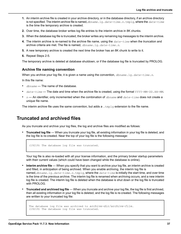- **1.** An interim archive file is created in your archive directory, or in the database directory, if an archive directory is not specified. The interim archive file is named,*dbname*.lg.*date-time*.*n*.tmplg, where the *date-time* is the time the temporary archive is created.
- **2.** Over time, the database broker writes log file entries to the interim archive in 8K chunks.
- **3.** When the database log file is truncated, the broker writes any remaining log messages to the interim archive.
- **4.** The interim archive is re-named to the archive file name, using the *date-time* when the truncation and archive criteria are met. The file is named, *dbname*.lg.*date-time*.*n*.
- **5.** A new temporary archive is created the next time the broker has an 8K chunk to write to it.
- **6.** Repeat Steps 2-5.

The temporary archive is deleted at database shutdown, or if the database log file is truncated by PROLOG.

### **Archive file naming convention**

When you archive your log file, it is given a name using the convention, *dbname*.lg.*date-time*.*n*.

In this file name:

- *dbname* The name of the database.
- date-time The date and time when the archive file is created, using the format YYYY-MM-DD. HH-MM.
- *n* An identifier, only incremented when the combination of *dbname* and *date-time* does not create a unique file name.

<span id="page-36-0"></span>The interim archive file uses the same convention, but adds a  $\text{tmplq}$  extension to the file name.

## **Truncated and archived files**

As you truncate and archive your log files, the log and archive files are modified as follows:

• **Truncated log file** — When you truncate your log file, all existing information in your log file is deleted, and the log file is re-created. Near the top of your log file is the following message:

```
(19219) The database log file was truncated.
```
Your log file is also re-loaded with all your license information, and the primary broker startup parameters with their current values (which could have been changed while the database is online).

- **Interim archive file** When you specify that you want to archive your log file, an interim archive is created and filled, in anticipation of being archived. When you enable archiving, the interim log file is named,*dbname*.lg.*date-time*.*n*.tmplg, where the *date-time* is initially the start time, and over time is the time of the previous archive. The interim log file is renamed when archiving occurs, and a new interim log file is created. The interim log file is deleted when the database is shut down or the log file is truncated with PROLOG.
- **Truncated and archived log file** When you truncate and archive your log file, the log file is first archived, then all existing information in your log file is deleted, and the log file is re-created. The following messages are written to your truncated log file:

```
The database log file was archived to archive-dir/archive-file.
(19219) The database log file was truncated.
```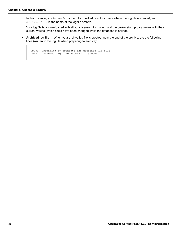In this instance, *archive-dir* is the fully qualified directory name where the log file is created, and *archive-file* is the name of the log file archive.

Your log file is also re-loaded with all your license information, and the broker startup parameters with their current values (which could have been changed while the database is online).

• **Archived log file** — When your archive log file is created, near the end of the archive, are the following lines (written to the log file when preparing to archive):

```
(19233) Preparing to truncate the database .lg file.
(19232) Database .lg file archive in process.
```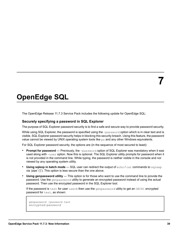# <span id="page-38-0"></span>**OpenEdge SQL**

The OpenEdge Release 11.7.3 Service Pack includes the following update for OpenEdge SQL:

## **Securely specifying a password in SQL Explorer**

The purpose of SQL Explorer password security is to find a safe and secure way to provide password security.

While using SQL Explorer, the password is specified using the  $-password$  option which is in clear text and is visible. SQL Explorer password security helps in blocking this security breach. Using this feature, the password value cannot be viewed by UNIX operating system tools like  $p_s$  and any other Windows equivalents.

For SQL Explorer password security, the options are (in the sequence of most secured to least):

- **Prompt for password** Previously, the -password option of SQL Explorer was mandatory when it was used along with -user option. Now this is optional. The SQL Explorer utility prompts for password when it is not provided in the command line. While typing, the password is neither visible in the console and nor viewed by any operating system utility.
- **Using sqlexp in batch mode** SQL user can redirect the output of echo / cat commands to sqlexp via 'pipe' ('|'). This option is less secure than the one above.
- **Using genpassword utility** This option is for those who want to use the command line to provide the password. Use the genpassword utility to generate an encrypted password instead of using the actual password. Then use the encrypted password in the SQL Explorer tool.

If the password is test for user userA then use the genpassword utility to get an OECH1 encrypted password for test, as shown:

```
genpassword -password test
encrypted-password
```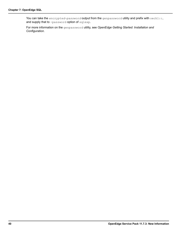You can take the *encrypted-password* output from the genpassword utility and prefix with oech1::, and supply that to -password option of sqlexp.

For more information on the genpassword utility, see *OpenEdge Getting Started: Installation and Configuration*.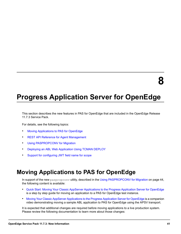# <span id="page-40-0"></span>**Progress Application Server for OpenEdge**

This section describes the new features in PAS for OpenEdge that are included in the OpenEdge Release 11.7.3 Service Pack.

For details, see the following topics:

- Moving [Applications](#page-40-1) to PAS for OpenEdge
- REST API Reference for Agent [Management](#page-41-0)
- Using [PASPROPCONV](#page-43-0) for Migration
- Deploying an ABL Web [Application](#page-45-0) Using TCMAN DEPLOY
- <span id="page-40-1"></span>Support for [configuring](#page-46-0) JWT field name for scope

# **Moving Applications to PAS for OpenEdge**

In support of the new paspropconv utility, described in the Using [PASPROPCONV](#page-43-0) for Migration on page 44, the following content is available:

- Quick Start: Moving Your Classic AppServer [Applications](https://community.progress.com/community_groups/openedge_general/m/documents/3455) to the Progress Application Server for OpenEdge is a step by step guide for moving an application to a PAS for OpenEdge test instance.
- Moving Your Classic AppServer [Applications](https://www.progress.com/video/details/moving-your-classic-appserver-applications-to-the-progress-application-server-for-openedge) to the Progress Application Server for OpenEdge is a companion video demonstrating moving a sample ABL application to PAS for OpenEdge using the APSV transport.

It is expected that additional changes are required before moving applications to a live production system. Please review the following documentation to learn more about those changes: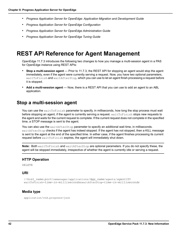- *Progress Application Server for OpenEdge: Application Migration and Development Guide*
- *Progress Application Server for OpenEdge Configuration*
- *Progress Application Server for OpenEdge Administration Guide*
- *Progress Application Server for OpenEdge Tuning Guide*

## <span id="page-41-0"></span>**REST API Reference for Agent Management**

OpenEdge 11.7.3 introduces the following two changes to how you manage a multi-session agent in a PAS for OpenEdge instance using REST APIs:

- **Stop a multi-session agent** Prior to 11.7.3, the REST API for stopping an agent would stop the agent immediately, even if the agent were currently serving a request. Now, you have two optional parameters, waitToFinish and waitAfterStop, which you can use to let an agent finish processing a request before it is stopped.
- <span id="page-41-1"></span>• **Add a multi-session agent** — Now, there is a REST API that you can use to add an agent to an ABL application.

## **Stop a multi-session agent**

You can use the waitToFinish parameter to specify, in milliseconds, how long the stop process must wait before stopping an agent, if the agent is currently serving a request. waitToFinish stops new requests to the agent and waits for the current request to complete. If the current request does not complete in the specified time, a STOP message is sent to the agent.

You can also use the waitAfterStop parameter to specify an additional wait time, in milliseconds. waitAfterStop checks if the agent has indeed stopped. If the agent has not stopped, then a KILL message is sent to the agent at the end of the specified time. In either case, if the agent finishes processing its current request before waitToFinish expires, the agent will immediately shut down.

**Note:** Both waitToFinish and waitAfterStop are optional parameters. If you do not specify these, the agent will be stopped immediately, irrespective of whether the agent is currently idle or serving a request.

## **HTTP Operation**

DELETE

### **URI**

```
//host_name:port/oemanager/applications/App_name/agents/agentID?
waitToFinish=time-in-milliseconds&waitAfterStop=time-in-milliseconds
```
### **Media type**

application/vnd.progress+json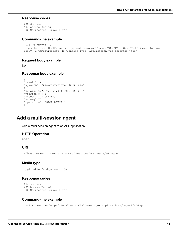#### **Response codes**

```
200 Success
403 Access Denied
500 Unexpected Server Error
```
### **Command-line example**

```
curl -X DELETE -v
http://localhost:16680/oemanager/applications/oepas1/agents/AG-sCIVXeFSQYmcb7RcHo10Zw?waitToFinish=
60000 -u tomcat:tomcat -H "Content-Type: application/vnd.progress+json"
```
### **Request body example**

NA

### **Response body example**

```
{
"result": {
"agentID": "AG-sCIVXeFSQYmcb7RcHo10Zw"
},
"versionStr": "v11.7.3 ( 2018-02-12 )",
"versionNo": 1,
"outcome":"SUCCESS",
"errmsg":"",
"operation": "STOP AGENT ",
}
```
## <span id="page-42-0"></span>**Add a multi-session agent**

Add a multi-session agent to an ABL application.

## **HTTP Operation**

POST

### **URI**

//*host\_name*:*port*/oemanager/applications/*App\_name*/addAgent

### **Media type**

```
application/vnd.progress+json
```
## **Response codes**

```
200 Success
403 Access Denied
500 Unexpected Server Error
```
## **Command-line example**

curl -X POST -v http://localhost:16680/oemanager/applications/oepas1/addAgent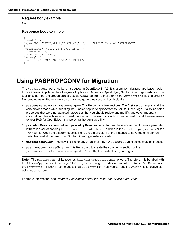#### **Request body example**

NA

### **Response body example**

```
{
"result": {
"agentID": "9RT0PpxRTk6qPS1XEA_QSg", "pid":"84708","state":"AVAILABLE"
},
"versionStr": "v11.7.3 ( 2018-02-12 )",
"versionNo": 1,
"outcome":"SUCCESS",
"errmsg":"",
"operation": "GET ABL OBJECTS REPORT",
}
```
# <span id="page-43-0"></span>**Using PASPROPCONV for Migration**

The paspropconv tool or utility is introduced in OpenEdge 11.7.3. It is useful for migrating application logic from a Classic AppServer to a Progress Application Server for OpenEdge (PAS for OpenEdge) instance. The tool takes as input the properties of a Classic AppServer from either a ubroker.properties file or a .merge file (created using the mergeprop utility) and generates several files, including:

- **pasoename.ubrokername.oemerge** This file contains two sections. The **first section** explains all the conversions made while adapting the Classic AppServer properties to PAS for OpenEdge. It also indicates properties that were not adapted, properties that you should review and modify, and other important information. Please take time to read this section. The **second section** can be used to add the new values to your PAS for OpenEdge instance using the oeprop utility.
- **pasoeAppName** setenv.sh **and** pasoeAppName setenv.bat These environment files are generated if there is a corresponding [Environment.ubrokerName] section in the ubroker.properties or the . merge file. Copy the platform-specific file to the bin directory of the instance to have the environment variables read at the time your PAS for OpenEdge instance starts.
- **paspropconv.log** Review this file for any errors that may have occurred during the conversion process.
- **paspropconv\_notesdb.en** This file is used to create the comments section of the pasoename.ubrokername.oemerge file. Presently, it is available only in English.

**Note:** The paspropconv utility requires  $\frac{pL}{pL}$ bin/mergeprop.bat to work. Therefore, it is bundled with the Classic AppServer in OpenEdge 11.7.3. If you are using an earlier version of the Classic AppServer, use the mergeprop -listall command to create a .merge file. Then, you can use the .merge file for conversion using paspropconv.

For more information, see *Progress Application Server for OpenEdge: Quick Start Guide*.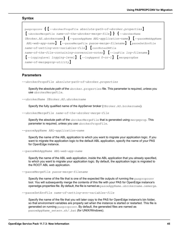paspropconv **{[**--ubrokerPropsFile *absolute-path-of-ubroker.properties***] [**-ubrokerMergeFile *name-of-the-ubroker-merge-file***]} {**--ubrokerName *UBroker.AS.ubrokername***} {**--pasoeAppName *ABL-application-name***} [**--pasoeWebAppName *ABL-web-app-name***] [**--pasoeMergeFile *pasoe-merge-filename***] [**pasoeSetEnvFile *name-of-setting-evn-variables-file***] [**convNotesDBFile *name-of-the-file-containing-conversion-notes***] [**--logFile *log-filename***] [**--loggingLevel *logging-level***] [**--logAppend *0-or-1***] [**mergepropExe *name-of-mergeprop-utility***]**

#### **Parameters**

--ubrokerPropsFile *absolute-path-of-ubroker.properties*

Specify the absolute path of the  $ubroke$ , properties file. This parameter is required, unless you use ubrokerMergeFile.

--ubrokerName *UBroker.AS.ubrokername*

Specify the fully qualified name of the AppServer broker (UBroker.AS.brokername).

--ubrokerMergeFile *name-of-the-ubroker-merge-file*

Specify the absolute path of the ubrokerMergeFile that is generated using mergeprop. This parameter is required, unless you use ubrokerPropsFile.

--pasoeAppName *ABL-application-name*

Specify the name of the ABL application to which you want to migrate your application logic. If you want to migrate the application logic to the default ABL application, specify the name of your PAS for OpenEdge instance.

--pasoeWebAppName *ABL-web-app-name*

Specify the name of the ABL web application, inside the ABL application that you already specified, to which you want to migrate your application logic. By default, the application logic is migrated to the ROOT ABL web application.

--pasoeMergeFile *pasoe-merge-filename*

Specify the name of the file that is one of the expected file outputs of running the paspropconv tool. You will subsequently merge the contents of this file with your PAS for OpenEdge instance's openedge.properties file. By default, the file is named as pasoeAppName.ubrokername.oemerge.

--pasoeSetEnvFile *name-of-setting-evn-variables-file*

Specify the name of the file that you will later copy to the PAS for OpenEdge instance's bin folder, so that environment variables are properly set when the instance is started or restarted. This file is generated on running paspropconv. By default, the generated files are named as pasoeAppName setenv.sh/.bat (for UNIX/Windows).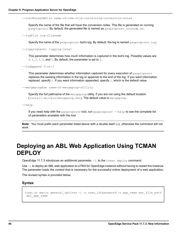--convNotesDBFile *name-of-the-file-containing-conversion-notes*

Specify the name of the file that will have the conversion notes. This file is generated on running paspropconv. By default, the generated file is named as paspropconv notesdb.en.

--logFile *log-filename*

Specify the name of the paspropconv tool's log. By default, the log is named paspropconv. log.

--loggingLevel *logging-level*

This parameter determines how much information is captured in the tool's log. Possible values are  $0, 1, 2, 3, 4$ , and 5. By default, the parameter is set to  $2$ .

--logAppend *0-or-1*

This parameter determines whether information captured for every execution of paspropconv replaces the existing information in the log or appends to the end of the log. If you want information replaced, specify 0. If you want information appended, specify 1, which is the default value.

--mergepropExe *name-of-mergeprop-utility*

Specify the full pathname of the mergeprop utility, if you are not using the default location (*install-dir*/bin/mergeprop.bat). The default value is mergeprop.

--help

If you need help with the paspropconv tool, run paspropconv --help to see the complete list of parameters available with the tool.

<span id="page-45-0"></span>**Note:** You must prefix each parameter listed above with a double dash (**--**), otherwise the command will not work.

## **Deploying an ABL Web Application Using TCMAN DEPLOY**

OpenEdge 11.7.3 introduces an additional parameter,  $-1$ , to the  $\tt$ cman deploy command.

Use  $-1$  to deploy an ABL web application to a PAS for OpenEdge instance without having to restart the instance. The parameter loads the context that is necessary for the successful online deployment of a web application.

The revised syntax is provided below.

#### **Syntax**

```
tcman.sh deploy general_options -l -u user_id:password -a app_name war_file_path
abl_app_name
```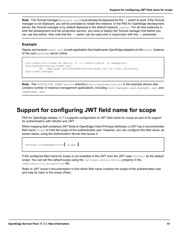**Note:** The Tomcat manager (manager.war) must already be deployed for the  $-1$  switch to work. If the Tomcat manager is not deployed, you will be prompted to restart the instance. In the PAS for OpenEdge development server, the Tomcat manager is by default deployed in the default instance, oepas1. For all new instances in both the development and the production servers, you have to deploy the Tomcat manager first before you can use this switch. Also note that the  $-1$  switch can be used only in conjunction with the  $-u$  parameter.

## **Example**

Deploy and rename  $\text{oeab1.}$  war (a web application that implements OpenEdge adapters) to the  $\text{acm}$ e1 instance of the core pashome server online:

```
/psc/acme1/bin/tcman.sh deploy -l -u tomcat:tomcat -a oeadapters
/psc/pashome/extras/oeabl.war
        OK - deployed /psc/pashome/extras/oeabl.war to local directory
/psc/acme1/webapps
```
**Note:** The \$CATALINA\_HOME/extras directory (/psc/pashome/extras in the example above) also contains number of instance management applications, including host-manager.war, manager.war, and oemanager.war.

# <span id="page-46-0"></span>**Support for configuring JWT field name for scope**

PAS for OpenEdge release 11.7.3 supports configuration of JWT field name for scope as part of its support for authentication with OAuth2 and JWT.

When mapping Self-contained JWT fields to OpenEdge Client-Principal attributes, a JWT has a recommended field name scope to hold the scope of the authenticated user. However, you can configure this field name, as shown below, using the Authorization Server that issues it:

```
jwtToken.scopeNameField={ scope }
```
If the configured field name for scope is not available in the JWT, then the JWT uses PSCUser as the default scope. You can set this default scope using the  $j$ wtToken.defaultRoles property in the oeablSecurity.properties file.

Refer to JWT issuer's documentation to find which field name contains the scope of the authenticated user and map its claim to the scope (Role).